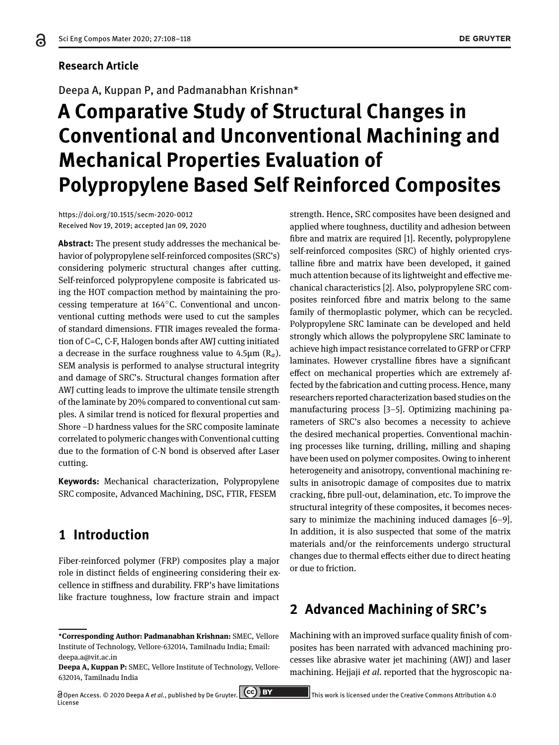#### **Research Article**

Deepa A, Kuppan P, and Padmanabhan Krishnan\*

# **A Comparative Study of Structural Changes in Conventional and Unconventional Machining and Mechanical Properties Evaluation of Polypropylene Based Self Reinforced Composites**

https://doi.org/10.1515/secm-2020-0012 Received Nov 19, 2019; accepted Jan 09, 2020

**Abstract:** The present study addresses the mechanical behavior of polypropylene self-reinforced composites (SRC's) considering polymeric structural changes after cutting. Self-reinforced polypropylene composite is fabricated using the HOT compaction method by maintaining the processing temperature at 164∘C. Conventional and unconventional cutting methods were used to cut the samples of standard dimensions. FTIR images revealed the formation of C=C, C-F, Halogen bonds after AWJ cutting initiated a decrease in the surface roughness value to  $4.5\mu$ m ( $R_a$ ). SEM analysis is performed to analyse structural integrity and damage of SRC's. Structural changes formation after AWJ cutting leads to improve the ultimate tensile strength of the laminate by 20% compared to conventional cut samples. A similar trend is noticed for flexural properties and Shore -D hardness values for the SRC composite laminate correlated to polymeric changes with Conventional cutting due to the formation of C-N bond is observed after Laser cutting.

**Keywords:** Mechanical characterization, Polypropylene SRC composite, Advanced Machining, DSC, FTIR, FESEM

# **1 Introduction**

Fiber-reinforced polymer (FRP) composites play a major role in distinct fields of engineering considering their excellence in stiffness and durability. FRP's have limitations like fracture toughness, low fracture strain and impact

strength. Hence, SRC composites have been designed and applied where toughness, ductility and adhesion between fibre and matrix are required [1]. Recently, polypropylene self-reinforced composites (SRC) of highly oriented crystalline fibre and matrix have been developed, it gained much attention because of its lightweight and effective mechanical characteristics [2]. Also, polypropylene SRC composites reinforced fibre and matrix belong to the same family of thermoplastic polymer, which can be recycled. Polypropylene SRC laminate can be developed and held strongly which allows the polypropylene SRC laminate to achieve high impact resistance correlated to GFRP or CFRP laminates. However crystalline fibres have a significant effect on mechanical properties which are extremely affected by the fabrication and cutting process. Hence, many researchers reported characterization based studies on the manufacturing process  $[3-5]$ . Optimizing machining parameters of SRC's also becomes a necessity to achieve the desired mechanical properties. Conventional machining processes like turning, drilling, milling and shaping have been used on polymer composites. Owing to inherent heterogeneity and anisotropy, conventional machining results in anisotropic damage of composites due to matrix cracking, fibre pull-out, delamination, etc. To improve the structural integrity of these composites, it becomes necessary to minimize the machining induced damages  $[6-9]$ . In addition, it is also suspected that some of the matrix materials and/or the reinforcements undergo structural changes due to thermal effects either due to direct heating or due to friction.

# **2 Advanced Machining of SRC's**

Machining with an improved surface quality finish of composites has been narrated with advanced machining processes like abrasive water jet machining (AWJ) and laser machining. Hejjaji *et al.* reported that the hygroscopic na-

**<sup>\*</sup>Corresponding Author: Padmanabhan Krishnan:** SMEC, Vellore Institute of Technology, Vellore-632014, Tamilnadu India; Email: deepa.a@vit.ac.in

**Deepa A, Kuppan P:** SMEC, Vellore Institute of Technology, Vellore-632014, Tamilnadu India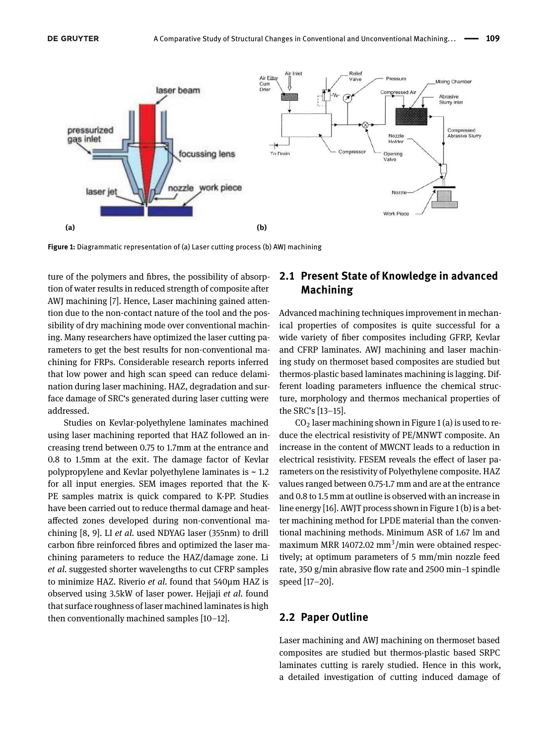



**Figure 1:** Diagrammatic representation of (a) Laser cutting process (b) AWJ machining

ture of the polymers and fibres, the possibility of absorption of water results in reduced strength of composite after AWJ machining [7]. Hence, Laser machining gained attention due to the non-contact nature of the tool and the possibility of dry machining mode over conventional machining. Many researchers have optimized the laser cutting parameters to get the best results for non-conventional machining for FRPs. Considerable research reports inferred that low power and high scan speed can reduce delamination during laser machining. HAZ, degradation and surface damage of SRC's generated during laser cutting were addressed.

Studies on Kevlar-polyethylene laminates machined using laser machining reported that HAZ followed an increasing trend between 0.75 to 1.7mm at the entrance and 0.8 to 1.5mm at the exit. The damage factor of Kevlar polypropylene and Kevlar polyethylene laminates is ~ 1.2 for all input energies. SEM images reported that the K-PE samples matrix is quick compared to K-PP. Studies have been carried out to reduce thermal damage and heataffected zones developed during non-conventional machining [8, 9]. LI *et al.* used NDYAG laser (355nm) to drill carbon fibre reinforced fibres and optimized the laser machining parameters to reduce the HAZ/damage zone. Li *et al.* suggested shorter wavelengths to cut CFRP samples to minimize HAZ. Riverio *et al.* found that 540µm HAZ is observed using 3.5kW of laser power. Hejjaji *et al.* found that surface roughness of laser machined laminates is high then conventionally machined samples  $[10-12]$ .

#### **2.1 Present State of Knowledge in advanced Machining**

Advanced machining techniques improvement in mechanical properties of composites is quite successful for a wide variety of fiber composites including GFRP, Kevlar and CFRP laminates. AWJ machining and laser machining study on thermoset based composites are studied but thermos-plastic based laminates machining is lagging. Different loading parameters influence the chemical structure, morphology and thermos mechanical properties of the SRC's [13-15].

 $CO<sub>2</sub>$  laser machining shown in Figure 1 (a) is used to reduce the electrical resistivity of PE/MNWT composite. An increase in the content of MWCNT leads to a reduction in electrical resistivity. FESEM reveals the effect of laser parameters on the resistivity of Polyethylene composite. HAZ values ranged between 0.75-1.7 mm and are at the entrance and 0.8 to 1.5 mm at outline is observed with an increase in line energy [16]. AWJT process shown in Figure 1 (b) is a better machining method for LPDE material than the conventional machining methods. Minimum ASR of 1.67 lm and maximum MRR 14072.02 mm<sup>3</sup>/min were obtained respectively; at optimum parameters of 5 mm/min nozzle feed rate, 350 g/min abrasive flow rate and 2500 min-1 spindle speed [17-20].

#### **2.2 Paper Outline**

Laser machining and AWJ machining on thermoset based composites are studied but thermos-plastic based SRPC laminates cutting is rarely studied. Hence in this work, a detailed investigation of cutting induced damage of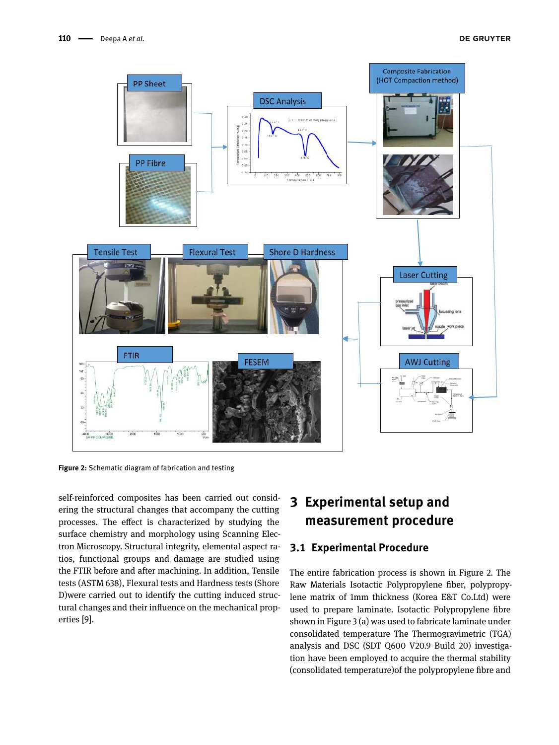

**Figure 2:** Schematic diagram of fabrication and testing

self-reinforced composites has been carried out considering the structural changes that accompany the cutting processes. The effect is characterized by studying the surface chemistry and morphology using Scanning Electron Microscopy. Structural integrity, elemental aspect ratios, functional groups and damage are studied using the FTIR before and after machining. In addition, Tensile tests (ASTM 638), Flexural tests and Hardness tests (Shore D)were carried out to identify the cutting induced structural changes and their influence on the mechanical properties [9].

# **3 Experimental setup and measurement procedure**

#### **3.1 Experimental Procedure**

The entire fabrication process is shown in Figure 2. The Raw Materials Isotactic Polypropylene fiber, polypropylene matrix of 1mm thickness (Korea E&T Co.Ltd) were used to prepare laminate. Isotactic Polypropylene fibre shown in Figure 3 (a) was used to fabricate laminate under consolidated temperature The Thermogravimetric (TGA) analysis and DSC (SDT Q600 V20.9 Build 20) investigation have been employed to acquire the thermal stability (consolidated temperature)of the polypropylene fibre and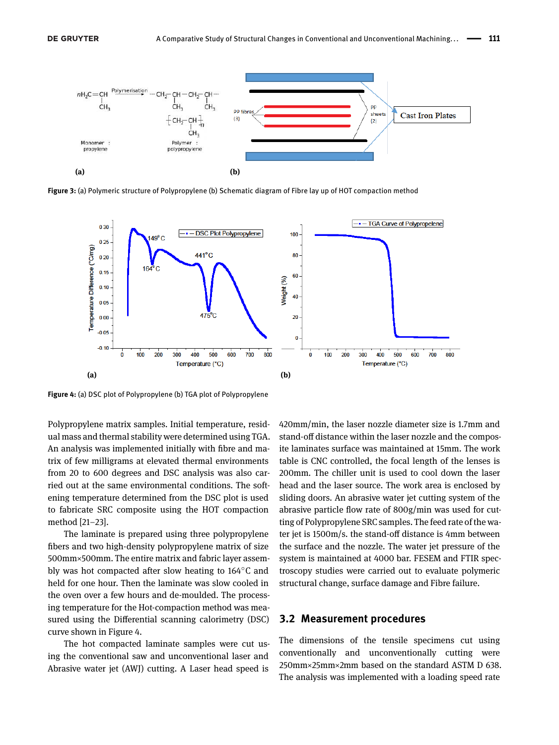

**Figure 3:** (a) Polymeric structure of Polypropylene (b) Schematic diagram of Fibre lay up of HOT compaction method



**Figure 4:** (a) DSC plot of Polypropylene (b) TGA plot of Polypropylene

Polypropylene matrix samples. Initial temperature, residual mass and thermal stability were determined using TGA. An analysis was implemented initially with fibre and matrix of few milligrams at elevated thermal environments from 20 to 600 degrees and DSC analysis was also carried out at the same environmental conditions. The softening temperature determined from the DSC plot is used to fabricate SRC composite using the HOT compaction method [21-23].

The laminate is prepared using three polypropylene fibers and two high-density polypropylene matrix of size 500mm×500mm. The entire matrix and fabric layer assembly was hot compacted after slow heating to 164∘C and held for one hour. Then the laminate was slow cooled in the oven over a few hours and de-moulded. The processing temperature for the Hot-compaction method was measured using the Differential scanning calorimetry (DSC) curve shown in Figure 4.

The hot compacted laminate samples were cut using the conventional saw and unconventional laser and Abrasive water jet (AWJ) cutting. A Laser head speed is 420mm/min, the laser nozzle diameter size is 1.7mm and stand-off distance within the laser nozzle and the composite laminates surface was maintained at 15mm. The work table is CNC controlled, the focal length of the lenses is 200mm. The chiller unit is used to cool down the laser head and the laser source. The work area is enclosed by sliding doors. An abrasive water jet cutting system of the abrasive particle flow rate of 800g/min was used for cutting of Polypropylene SRC samples. The feed rate of the water jet is 1500m/s. the stand-off distance is 4mm between the surface and the nozzle. The water jet pressure of the system is maintained at 4000 bar. FESEM and FTIR spectroscopy studies were carried out to evaluate polymeric structural change, surface damage and Fibre failure.

#### **3.2 Measurement procedures**

The dimensions of the tensile specimens cut using conventionally and unconventionally cutting were 250mm×25mm×2mm based on the standard ASTM D 638. The analysis was implemented with a loading speed rate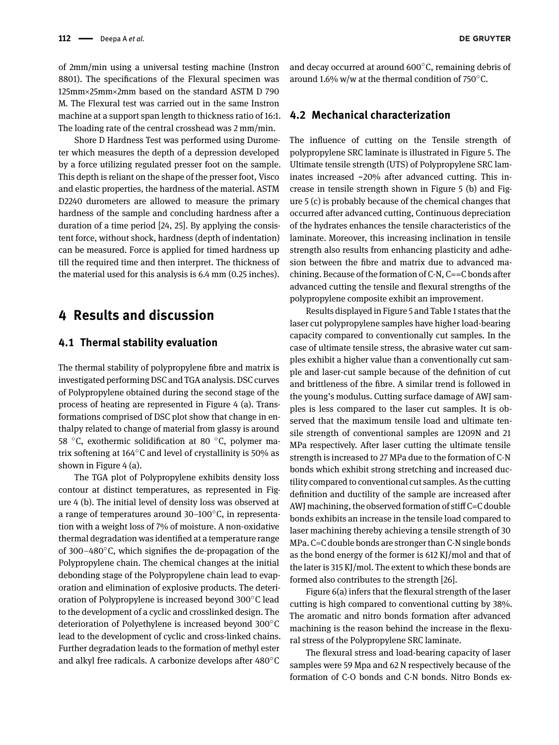of 2mm/min using a universal testing machine (Instron 8801). The specifications of the Flexural specimen was 125mm×25mm×2mm based on the standard ASTM D 790 M. The Flexural test was carried out in the same Instron machine at a support span length to thickness ratio of 16:1. The loading rate of the central crosshead was 2 mm/min.

Shore D Hardness Test was performed using Durometer which measures the depth of a depression developed by a force utilizing regulated presser foot on the sample. This depth is reliant on the shape of the presser foot, Visco and elastic properties, the hardness of the material. ASTM D2240 durometers are allowed to measure the primary hardness of the sample and concluding hardness after a duration of a time period [24, 25]. By applying the consistent force, without shock, hardness (depth of indentation) can be measured. Force is applied for timed hardness up till the required time and then interpret. The thickness of the material used for this analysis is 6.4 mm (0.25 inches).

### **4 Results and discussion**

#### **4.1 Thermal stability evaluation**

The thermal stability of polypropylene fibre and matrix is investigated performing DSC and TGA analysis. DSC curves of Polypropylene obtained during the second stage of the process of heating are represented in Figure 4 (a). Transformations comprised of DSC plot show that change in enthalpy related to change of material from glassy is around 58 <sup>∘</sup>C, exothermic solidification at 80 <sup>∘</sup>C, polymer matrix softening at 164∘C and level of crystallinity is 50% as shown in Figure 4 (a).

The TGA plot of Polypropylene exhibits density loss contour at distinct temperatures, as represented in Figure 4 (b). The initial level of density loss was observed at a range of temperatures around 30–100°C, in representation with a weight loss of 7% of moisture. A non-oxidative thermal degradation was identified at a temperature range of 300–480 $\degree$ C, which signifies the de-propagation of the Polypropylene chain. The chemical changes at the initial debonding stage of the Polypropylene chain lead to evaporation and elimination of explosive products. The deterioration of Polypropylene is increased beyond 300∘C lead to the development of a cyclic and crosslinked design. The deterioration of Polyethylene is increased beyond 300∘C lead to the development of cyclic and cross-linked chains. Further degradation leads to the formation of methyl ester and alkyl free radicals. A carbonize develops after 480∘C

and decay occurred at around 600∘C, remaining debris of around 1.6% w/w at the thermal condition of 750∘C.

#### **4.2 Mechanical characterization**

The influence of cutting on the Tensile strength of polypropylene SRC laminate is illustrated in Figure 5. The Ultimate tensile strength (UTS) of Polypropylene SRC laminates increased ~20% after advanced cutting. This increase in tensile strength shown in Figure 5 (b) and Figure 5 (c) is probably because of the chemical changes that occurred after advanced cutting, Continuous depreciation of the hydrates enhances the tensile characteristics of the laminate. Moreover, this increasing inclination in tensile strength also results from enhancing plasticity and adhesion between the fibre and matrix due to advanced machining. Because of the formation of C-N, C==C bonds after advanced cutting the tensile and flexural strengths of the polypropylene composite exhibit an improvement.

Results displayed in Figure 5 and Table 1 states that the laser cut polypropylene samples have higher load-bearing capacity compared to conventionally cut samples. In the case of ultimate tensile stress, the abrasive water cut samples exhibit a higher value than a conventionally cut sample and laser-cut sample because of the definition of cut and brittleness of the fibre. A similar trend is followed in the young's modulus. Cutting surface damage of AWJ samples is less compared to the laser cut samples. It is observed that the maximum tensile load and ultimate tensile strength of conventional samples are 1209N and 21 MPa respectively. After laser cutting the ultimate tensile strength is increased to 27 MPa due to the formation of C-N bonds which exhibit strong stretching and increased ductility compared to conventional cut samples. As the cutting definition and ductility of the sample are increased after AWJ machining, the observed formation of stiff C=C double bonds exhibits an increase in the tensile load compared to laser machining thereby achieving a tensile strength of 30 MPa. C=C double bonds are stronger than C-N single bonds as the bond energy of the former is 612 KJ/mol and that of the later is 315 KJ/mol. The extent to which these bonds are formed also contributes to the strength [26].

Figure 6(a) infers that the flexural strength of the laser cutting is high compared to conventional cutting by 38%. The aromatic and nitro bonds formation after advanced machining is the reason behind the increase in the flexural stress of the Polypropylene SRC laminate.

The flexural stress and load-bearing capacity of laser samples were 59 Mpa and 62 N respectively because of the formation of C-O bonds and C-N bonds. Nitro Bonds ex-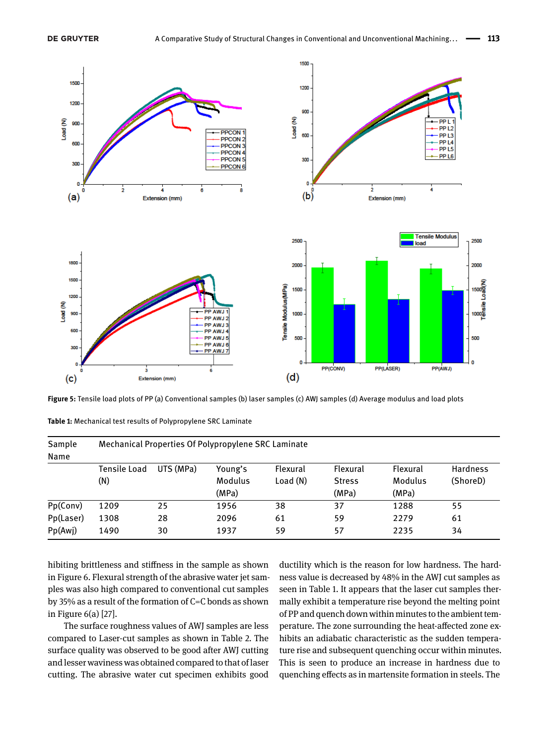

**Figure 5:** Tensile load plots of PP (a) Conventional samples (b) laser samples (c) AWJ samples (d) Average modulus and load plots

| Sample<br>Name | Mechanical Properties Of Polypropylene SRC Laminate |           |         |          |               |          |                 |  |  |  |
|----------------|-----------------------------------------------------|-----------|---------|----------|---------------|----------|-----------------|--|--|--|
|                | Tensile Load                                        | UTS (MPa) | Young's | Flexural | Flexural      | Flexural | <b>Hardness</b> |  |  |  |
|                | (N)                                                 |           | Modulus | Load(N)  | <b>Stress</b> | Modulus  | (ShoreD)        |  |  |  |
|                |                                                     |           | (MPa)   |          | (MPa)         | (MPa)    |                 |  |  |  |
| Pp(Conv)       | 1209                                                | 25        | 1956    | 38       | 37            | 1288     | 55              |  |  |  |
| Pp(Laser)      | 1308                                                | 28        | 2096    | 61       | 59            | 2279     | 61              |  |  |  |
| Pp(Awj)        | 1490                                                | 30        | 1937    | 59       | 57            | 2235     | 34              |  |  |  |

**Table 1:** Mechanical test results of Polypropylene SRC Laminate

hibiting brittleness and stiffness in the sample as shown in Figure 6. Flexural strength of the abrasive water jet samples was also high compared to conventional cut samples by 35% as a result of the formation of C=C bonds as shown in Figure 6(a) [27].

The surface roughness values of AWJ samples are less compared to Laser-cut samples as shown in Table 2. The surface quality was observed to be good after AWJ cutting and lesser waviness was obtained compared to that of laser cutting. The abrasive water cut specimen exhibits good ductility which is the reason for low hardness. The hardness value is decreased by 48% in the AWJ cut samples as seen in Table 1. It appears that the laser cut samples thermally exhibit a temperature rise beyond the melting point of PP and quench down within minutes to the ambient temperature. The zone surrounding the heat-affected zone exhibits an adiabatic characteristic as the sudden temperature rise and subsequent quenching occur within minutes. This is seen to produce an increase in hardness due to quenching effects as in martensite formation in steels. The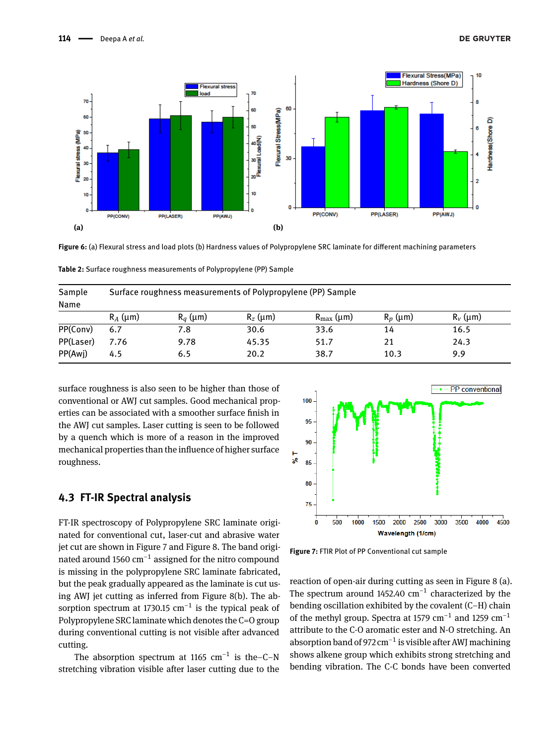

**Figure 6:** (a) Flexural stress and load plots (b) Hardness values of Polypropylene SRC laminate for different machining parameters

| Sample    | Surface roughness measurements of Polypropylene (PP) Sample |            |            |                       |            |            |  |  |  |  |  |
|-----------|-------------------------------------------------------------|------------|------------|-----------------------|------------|------------|--|--|--|--|--|
| Name      |                                                             |            |            |                       |            |            |  |  |  |  |  |
|           | $R_A$ (µm)                                                  | $R_a$ (µm) | $R_z$ (um) | $R_{\text{max}}$ (µm) | $R_n$ (µm) | $R_v$ (µm) |  |  |  |  |  |
| PP(Conv)  | 6.7                                                         | 7.8        | 30.6       | 33.6                  | 14         | 16.5       |  |  |  |  |  |
| PP(Laser) | 7.76                                                        | 9.78       | 45.35      | 51.7                  | 21         | 24.3       |  |  |  |  |  |
| PP(Awi)   | 4.5                                                         | 6.5        | 20.2       | 38.7                  | 10.3       | 9.9        |  |  |  |  |  |

**Table 2:** Surface roughness measurements of Polypropylene (PP) Sample

surface roughness is also seen to be higher than those of conventional or AWJ cut samples. Good mechanical properties can be associated with a smoother surface finish in the AWJ cut samples. Laser cutting is seen to be followed by a quench which is more of a reason in the improved mechanical properties than the influence of higher surface roughness.

#### **4.3 FT-IR Spectral analysis**

FT-IR spectroscopy of Polypropylene SRC laminate originated for conventional cut, laser-cut and abrasive water jet cut are shown in Figure 7 and Figure 8. The band originated around 1560  $\rm cm^{-1}$  assigned for the nitro compound is missing in the polypropylene SRC laminate fabricated, but the peak gradually appeared as the laminate is cut using AWJ jet cutting as inferred from Figure 8(b). The absorption spectrum at 1730.15 cm<sup>-1</sup> is the typical peak of Polypropylene SRC laminate which denotes the C=O group during conventional cutting is not visible after advanced cutting.

The absorption spectrum at 1165  $cm^{-1}$  is the–C–N stretching vibration visible after laser cutting due to the



**Figure 7:** FTIR Plot of PP Conventional cut sample

reaction of open-air during cutting as seen in Figure 8 (a). The spectrum around 1452.40  $cm^{-1}$  characterized by the bending oscillation exhibited by the covalent  $(C-H)$  chain of the methyl group. Spectra at 1579  $\text{cm}^{-1}$  and 1259  $\text{cm}^{-1}$ attribute to the C-O aromatic ester and N-O stretching. An absorption band of 972  $\text{cm}^{-1}$  is visible after AWJ machining shows alkene group which exhibits strong stretching and bending vibration. The C-C bonds have been converted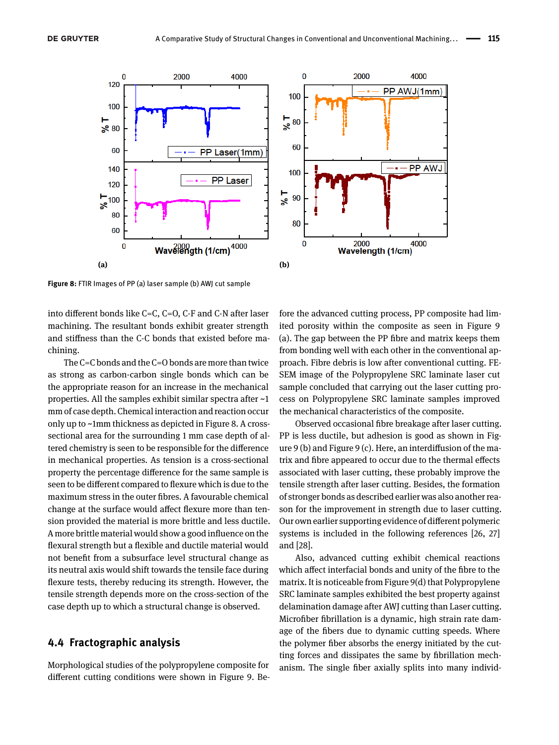

**Figure 8:** FTIR Images of PP (a) laser sample (b) AWJ cut sample

into different bonds like C=C, C=O, C-F and C-N after laser machining. The resultant bonds exhibit greater strength and stiffness than the C-C bonds that existed before machining.

The C=C bonds and the C=O bonds are more than twice as strong as carbon-carbon single bonds which can be the appropriate reason for an increase in the mechanical properties. All the samples exhibit similar spectra after ~1 mm of case depth. Chemical interaction and reaction occur only up to ~1mm thickness as depicted in Figure 8. A crosssectional area for the surrounding 1 mm case depth of altered chemistry is seen to be responsible for the difference in mechanical properties. As tension is a cross-sectional property the percentage difference for the same sample is seen to be different compared to flexure which is due to the maximum stress in the outer fibres. A favourable chemical change at the surface would affect flexure more than tension provided the material is more brittle and less ductile. A more brittle material would show a good influence on the flexural strength but a flexible and ductile material would not benefit from a subsurface level structural change as its neutral axis would shift towards the tensile face during flexure tests, thereby reducing its strength. However, the tensile strength depends more on the cross-section of the case depth up to which a structural change is observed.

#### **4.4 Fractographic analysis**

Morphological studies of the polypropylene composite for different cutting conditions were shown in Figure 9. Be-

fore the advanced cutting process, PP composite had limited porosity within the composite as seen in Figure 9 (a). The gap between the PP fibre and matrix keeps them from bonding well with each other in the conventional approach. Fibre debris is low after conventional cutting. FE-SEM image of the Polypropylene SRC laminate laser cut sample concluded that carrying out the laser cutting process on Polypropylene SRC laminate samples improved the mechanical characteristics of the composite.

Observed occasional fibre breakage after laser cutting. PP is less ductile, but adhesion is good as shown in Figure 9 (b) and Figure 9 (c). Here, an interdiffusion of the matrix and fibre appeared to occur due to the thermal effects associated with laser cutting, these probably improve the tensile strength after laser cutting. Besides, the formation of stronger bonds as described earlier was also another reason for the improvement in strength due to laser cutting. Our own earlier supporting evidence of different polymeric systems is included in the following references [26, 27] and [28].

Also, advanced cutting exhibit chemical reactions which affect interfacial bonds and unity of the fibre to the matrix. It is noticeable from Figure 9(d) that Polypropylene SRC laminate samples exhibited the best property against delamination damage after AWJ cutting than Laser cutting. Microfiber fibrillation is a dynamic, high strain rate damage of the fibers due to dynamic cutting speeds. Where the polymer fiber absorbs the energy initiated by the cutting forces and dissipates the same by fibrillation mechanism. The single fiber axially splits into many individ-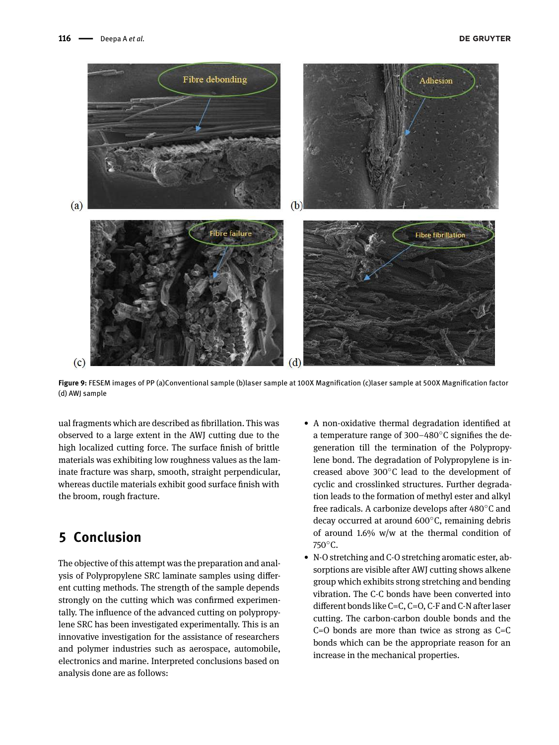

**Figure 9:** FESEM images of PP (a)Conventional sample (b)laser sample at 100X Magnification (c)laser sample at 500X Magnification factor (d) AWJ sample

ual fragments which are described as fibrillation. This was observed to a large extent in the AWJ cutting due to the high localized cutting force. The surface finish of brittle materials was exhibiting low roughness values as the laminate fracture was sharp, smooth, straight perpendicular, whereas ductile materials exhibit good surface finish with the broom, rough fracture.

# **5 Conclusion**

The objective of this attempt was the preparation and analysis of Polypropylene SRC laminate samples using different cutting methods. The strength of the sample depends strongly on the cutting which was confirmed experimentally. The influence of the advanced cutting on polypropylene SRC has been investigated experimentally. This is an innovative investigation for the assistance of researchers and polymer industries such as aerospace, automobile, electronics and marine. Interpreted conclusions based on analysis done are as follows:

- A non-oxidative thermal degradation identified at a temperature range of 300–480°C signifies the degeneration till the termination of the Polypropylene bond. The degradation of Polypropylene is increased above 300∘C lead to the development of cyclic and crosslinked structures. Further degradation leads to the formation of methyl ester and alkyl free radicals. A carbonize develops after 480∘C and decay occurred at around 600∘C, remaining debris of around 1.6% w/w at the thermal condition of 750∘C.
- N-O stretching and C-O stretching aromatic ester, absorptions are visible after AWJ cutting shows alkene group which exhibits strong stretching and bending vibration. The C-C bonds have been converted into different bonds like C=C, C=O, C-F and C-N after laser cutting. The carbon-carbon double bonds and the  $C=O$  bonds are more than twice as strong as  $C=O$ bonds which can be the appropriate reason for an increase in the mechanical properties.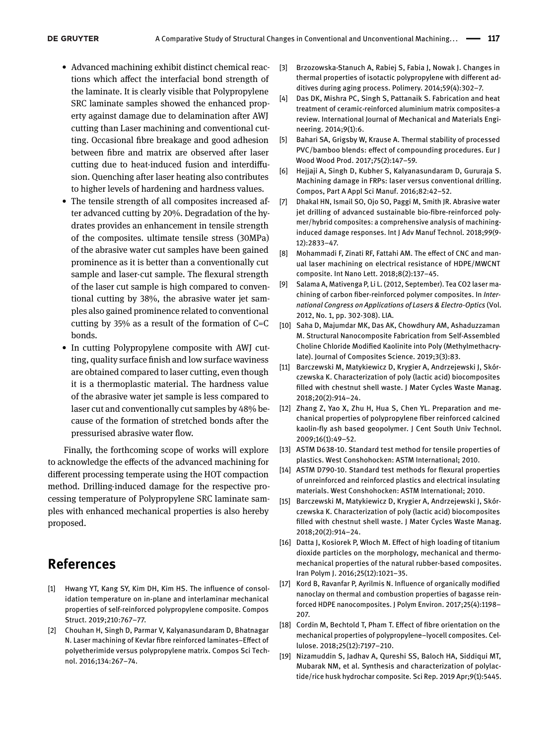- Advanced machining exhibit distinct chemical reactions which affect the interfacial bond strength of the laminate. It is clearly visible that Polypropylene SRC laminate samples showed the enhanced property against damage due to delamination after AWJ cutting than Laser machining and conventional cutting. Occasional fibre breakage and good adhesion between fibre and matrix are observed after laser cutting due to heat-induced fusion and interdiffusion. Quenching after laser heating also contributes to higher levels of hardening and hardness values.
- The tensile strength of all composites increased after advanced cutting by 20%. Degradation of the hydrates provides an enhancement in tensile strength of the composites. ultimate tensile stress (30MPa) of the abrasive water cut samples have been gained prominence as it is better than a conventionally cut sample and laser-cut sample. The flexural strength of the laser cut sample is high compared to conventional cutting by 38%, the abrasive water jet samples also gained prominence related to conventional cutting by  $35\%$  as a result of the formation of C=C bonds.
- In cutting Polypropylene composite with AWJ cutting, quality surface finish and low surface waviness are obtained compared to laser cutting, even though it is a thermoplastic material. The hardness value of the abrasive water jet sample is less compared to laser cut and conventionally cut samples by 48% because of the formation of stretched bonds after the pressurised abrasive water flow.

Finally, the forthcoming scope of works will explore to acknowledge the effects of the advanced machining for different processing temperate using the HOT compaction method. Drilling-induced damage for the respective processing temperature of Polypropylene SRC laminate samples with enhanced mechanical properties is also hereby proposed.

## **References**

- [1] Hwang YT, Kang SY, Kim DH, Kim HS. The influence of consolidation temperature on in-plane and interlaminar mechanical properties of self-reinforced polypropylene composite. Compos Struct. 2019;210:767-77.
- [2] Chouhan H, Singh D, Parmar V, Kalyanasundaram D, Bhatnagar N. Laser machining of Kevlar fibre reinforced laminates-Effect of polyetherimide versus polypropylene matrix. Compos Sci Technol. 2016;134:267-74.
- [3] Brzozowska-Stanuch A, Rabiej S, Fabia J, Nowak J. Changes in thermal properties of isotactic polypropylene with different additives during aging process. Polimery. 2014;59(4):302-7.
- [4] Das DK, Mishra PC, Singh S, Pattanaik S. Fabrication and heat treatment of ceramic-reinforced aluminium matrix composites-a review. International Journal of Mechanical and Materials Engineering. 2014;9(1):6.
- [5] Bahari SA, Grigsby W, Krause A. Thermal stability of processed PVC/bamboo blends: effect of compounding procedures. Eur J Wood Wood Prod. 2017;75(2):147-59.
- [6] Hejjaji A, Singh D, Kubher S, Kalyanasundaram D, Gururaja S. Machining damage in FRPs: laser versus conventional drilling. Compos, Part A Appl Sci Manuf. 2016;82:42-52.
- [7] Dhakal HN, Ismail SO, Ojo SO, Paggi M, Smith JR. Abrasive water jet drilling of advanced sustainable bio-fibre-reinforced polymer/hybrid composites: a comprehensive analysis of machininginduced damage responses. Int J Adv Manuf Technol. 2018;99(9- 12):2833-47.
- [8] Mohammadi F, Zinati RF, Fattahi AM. The effect of CNC and manual laser machining on electrical resistance of HDPE/MWCNT composite. Int Nano Lett. 2018;8(2):137-45.
- [9] Salama A, Mativenga P, Li L. (2012, September). Tea CO2 laser machining of carbon fiber-reinforced polymer composites. In *International Congress on Applications of Lasers & Electro-Optics* (Vol. 2012, No. 1, pp. 302-308). LIA.
- [10] Saha D, Majumdar MK, Das AK, Chowdhury AM, Ashaduzzaman M. Structural Nanocomposite Fabrication from Self-Assembled Choline Chloride Modified Kaolinite into Poly (Methylmethacrylate). Journal of Composites Science. 2019;3(3):83.
- [11] Barczewski M, Matykiewicz D, Krygier A, Andrzejewski J, Skórczewska K. Characterization of poly (lactic acid) biocomposites filled with chestnut shell waste. J Mater Cycles Waste Manag. 2018;20(2):914-24.
- [12] Zhang Z, Yao X, Zhu H, Hua S, Chen YL. Preparation and mechanical properties of polypropylene fiber reinforced calcined kaolin-fly ash based geopolymer. J Cent South Univ Technol. 2009;16(1):49-52.
- [13] ASTM D638-10. Standard test method for tensile properties of plastics. West Conshohocken: ASTM International; 2010.
- [14] ASTM D790-10. Standard test methods for flexural properties of unreinforced and reinforced plastics and electrical insulating materials. West Conshohocken: ASTM International; 2010.
- [15] Barczewski M, Matykiewicz D, Krygier A, Andrzejewski J, Skórczewska K. Characterization of poly (lactic acid) biocomposites filled with chestnut shell waste. J Mater Cycles Waste Manag. 2018;20(2):914-24.
- [16] Datta J, Kosiorek P, Włoch M. Effect of high loading of titanium dioxide particles on the morphology, mechanical and thermomechanical properties of the natural rubber-based composites. Iran Polym J. 2016;25(12):1021-35.
- [17] Kord B, Ravanfar P, Ayrilmis N. Influence of organically modified nanoclay on thermal and combustion properties of bagasse reinforced HDPE nanocomposites. J Polym Environ. 2017;25(4):1198-207.
- [18] Cordin M, Bechtold T, Pham T. Effect of fibre orientation on the mechanical properties of polypropylene-lyocell composites. Cellulose. 2018;25(12):7197-210.
- [19] Nizamuddin S, Jadhav A, Qureshi SS, Baloch HA, Siddiqui MT, Mubarak NM, et al. Synthesis and characterization of polylactide/rice husk hydrochar composite. Sci Rep. 2019 Apr;9(1):5445.